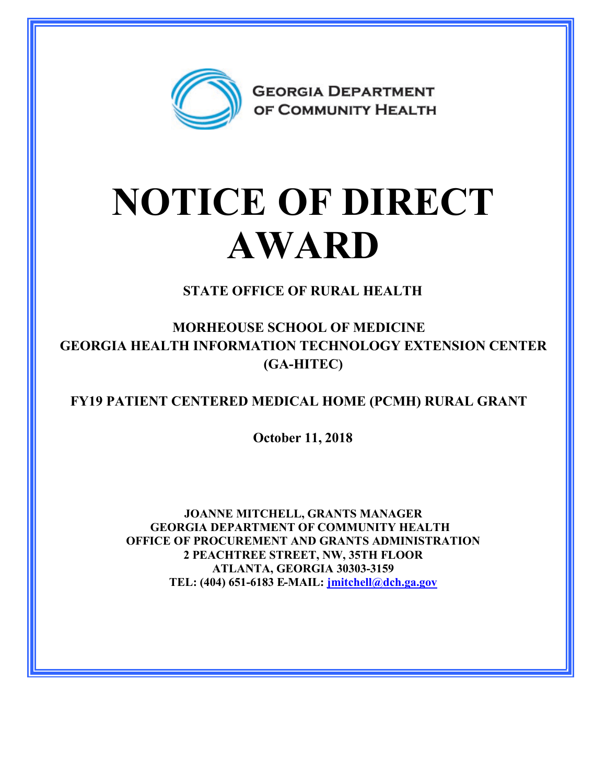

## **NOTICE OF DIRECT AWARD**

**STATE OFFICE OF RURAL HEALTH**

**MORHEOUSE SCHOOL OF MEDICINE GEORGIA HEALTH INFORMATION TECHNOLOGY EXTENSION CENTER (GA-HITEC)**

**FY19 PATIENT CENTERED MEDICAL HOME (PCMH) RURAL GRANT**

**October 11, 2018**

**JOANNE MITCHELL, GRANTS MANAGER GEORGIA DEPARTMENT OF COMMUNITY HEALTH OFFICE OF PROCUREMENT AND GRANTS ADMINISTRATION 2 PEACHTREE STREET, NW, 35TH FLOOR ATLANTA, GEORGIA 30303-3159 TEL: (404) 651-6183 E-MAIL: [jmitchell@dch.ga.gov](mailto:jmitchell@dch.ga.gov)**